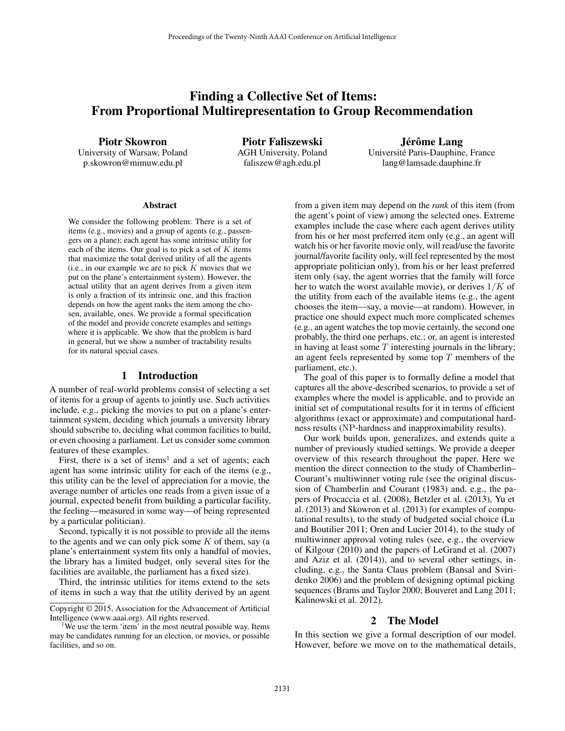# Finding a Collective Set of Items: From Proportional Multirepresentation to Group Recommendation

Piotr Skowron

University of Warsaw, Poland p.skowron@mimuw.edu.pl

Piotr Faliszewski AGH University, Poland faliszew@agh.edu.pl

Jérôme Lang Universite Paris-Dauphine, France ´ lang@lamsade.dauphine.fr

#### Abstract

We consider the following problem: There is a set of items (e.g., movies) and a group of agents (e.g., passengers on a plane); each agent has some intrinsic utility for each of the items. Our goal is to pick a set of  $K$  items that maximize the total derived utility of all the agents (i.e., in our example we are to pick  $K$  movies that we put on the plane's entertainment system). However, the actual utility that an agent derives from a given item is only a fraction of its intrinsic one, and this fraction depends on how the agent ranks the item among the chosen, available, ones. We provide a formal specification of the model and provide concrete examples and settings where it is applicable. We show that the problem is hard in general, but we show a number of tractability results for its natural special cases.

#### 1 Introduction

A number of real-world problems consist of selecting a set of items for a group of agents to jointly use. Such activities include, e.g., picking the movies to put on a plane's entertainment system, deciding which journals a university library should subscribe to, deciding what common facilities to build, or even choosing a parliament. Let us consider some common features of these examples.

First, there is a set of items<sup>1</sup> and a set of agents; each agent has some intrinsic utility for each of the items (e.g., this utility can be the level of appreciation for a movie, the average number of articles one reads from a given issue of a journal, expected benefit from building a particular facility, the feeling—measured in some way—of being represented by a particular politician).

Second, typically it is not possible to provide all the items to the agents and we can only pick some  $K$  of them, say (a plane's entertainment system fits only a handful of movies, the library has a limited budget, only several sites for the facilities are available, the parliament has a fixed size).

Third, the intrinsic utilities for items extend to the sets of items in such a way that the utility derived by an agent from a given item may depend on the *rank* of this item (from the agent's point of view) among the selected ones. Extreme examples include the case where each agent derives utility from his or her most preferred item only (e.g., an agent will watch his or her favorite movie only, will read/use the favorite journal/favorite facility only, will feel represented by the most appropriate politician only), from his or her least preferred item only (say, the agent worries that the family will force her to watch the worst available movie), or derives  $1/K$  of the utility from each of the available items (e.g., the agent chooses the item—say, a movie—at random). However, in practice one should expect much more complicated schemes (e.g., an agent watches the top movie certainly, the second one probably, the third one perhaps, etc.; or, an agent is interested in having at least some  $T$  interesting journals in the library; an agent feels represented by some top  $T$  members of the parliament, etc.).

The goal of this paper is to formally define a model that captures all the above-described scenarios, to provide a set of examples where the model is applicable, and to provide an initial set of computational results for it in terms of efficient algorithms (exact or approximate) and computational hardness results (NP-hardness and inapproximability results).

Our work builds upon, generalizes, and extends quite a number of previously studied settings. We provide a deeper overview of this research throughout the paper. Here we mention the direct connection to the study of Chamberlin– Courant's multiwinner voting rule (see the original discussion of Chamberlin and Courant (1983) and, e.g., the papers of Procaccia et al. (2008), Betzler et al. (2013), Yu et al. (2013) and Skowron et al. (2013) for examples of computational results), to the study of budgeted social choice (Lu and Boutilier 2011; Oren and Lucier 2014), to the study of multiwinner approval voting rules (see, e.g., the overview of Kilgour (2010) and the papers of LeGrand et al. (2007) and Aziz et al. (2014)), and to several other settings, including, e.g., the Santa Claus problem (Bansal and Sviridenko 2006) and the problem of designing optimal picking sequences (Brams and Taylor 2000; Bouveret and Lang 2011; Kalinowski et al. 2012).

### 2 The Model

In this section we give a formal description of our model. However, before we move on to the mathematical details,

Copyright © 2015, Association for the Advancement of Artificial Intelligence (www.aaai.org). All rights reserved.

<sup>&</sup>lt;sup>1</sup>We use the term 'item' in the most neutral possible way. Items may be candidates running for an election, or movies, or possible facilities, and so on.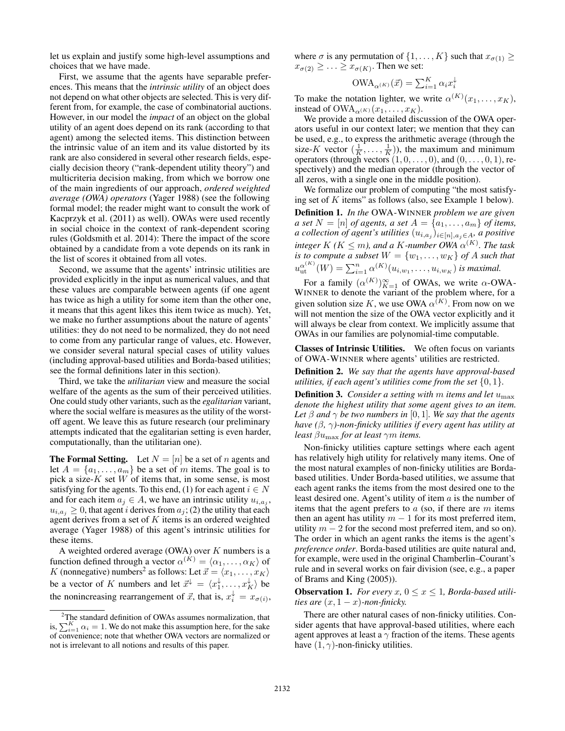let us explain and justify some high-level assumptions and choices that we have made.

First, we assume that the agents have separable preferences. This means that the *intrinsic utility* of an object does not depend on what other objects are selected. This is very different from, for example, the case of combinatorial auctions. However, in our model the *impact* of an object on the global utility of an agent does depend on its rank (according to that agent) among the selected items. This distinction between the intrinsic value of an item and its value distorted by its rank are also considered in several other research fields, especially decision theory ("rank-dependent utility theory") and multicriteria decision making, from which we borrow one of the main ingredients of our approach, *ordered weighted average (OWA) operators* (Yager 1988) (see the following formal model; the reader might want to consult the work of Kacprzyk et al. (2011) as well). OWAs were used recently in social choice in the context of rank-dependent scoring rules (Goldsmith et al. 2014): There the impact of the score obtained by a candidate from a vote depends on its rank in the list of scores it obtained from all votes.

Second, we assume that the agents' intrinsic utilities are provided explicitly in the input as numerical values, and that these values are comparable between agents (if one agent has twice as high a utility for some item than the other one, it means that this agent likes this item twice as much). Yet, we make no further assumptions about the nature of agents' utilities: they do not need to be normalized, they do not need to come from any particular range of values, etc. However, we consider several natural special cases of utility values (including approval-based utilities and Borda-based utilities; see the formal definitions later in this section).

Third, we take the *utilitarian* view and measure the social welfare of the agents as the sum of their perceived utilities. One could study other variants, such as the *egalitarian* variant, where the social welfare is measures as the utility of the worstoff agent. We leave this as future research (our preliminary attempts indicated that the egalitarian setting is even harder, computationally, than the utilitarian one).

**The Formal Setting.** Let  $N = [n]$  be a set of n agents and let  $A = \{a_1, \ldots, a_m\}$  be a set of m items. The goal is to pick a size- $K$  set  $W$  of items that, in some sense, is most satisfying for the agents. To this end, (1) for each agent  $i \in N$ and for each item  $a_j \in A$ , we have an intrinsic utility  $u_{i,a_j}$ ,  $u_{i,a_j} \geq 0$ , that agent *i* derives from  $a_j$ ; (2) the utility that each agent derives from a set of  $K$  items is an ordered weighted average (Yager 1988) of this agent's intrinsic utilities for these items.

A weighted ordered average (OWA) over  $K$  numbers is a function defined through a vector  $\alpha^{(K)} = \langle \alpha_1, \dots, \alpha_K \rangle$  of K (nonnegative) numbers<sup>2</sup> as follows: Let  $\vec{x} = \langle x_1, \dots, x_K \rangle$ be a vector of K numbers and let  $\vec{x}^{\downarrow} = \langle x_1^{\downarrow}, \dots, x_K^{\downarrow} \rangle$  be the nonincreasing rearrangement of  $\vec{x}$ , that is,  $x_i^{\downarrow} = x_{\sigma(i)}$ , where  $\sigma$  is any permutation of  $\{1, \ldots, K\}$  such that  $x_{\sigma(1)} \ge$  $x_{\sigma(2)} \geq \ldots \geq x_{\sigma(K)}$ . Then we set:

$$
\text{OWA}_{\alpha^{(K)}}(\vec{x}) = \sum_{i=1}^{K} \alpha_i x_i^{\downarrow}
$$

To make the notation lighter, we write  $\alpha^{(K)}(x_1, \ldots, x_K)$ , instead of  $OWA_{\alpha(K)}(x_1, \ldots, x_K)$ .

We provide a more detailed discussion of the OWA operators useful in our context later; we mention that they can be used, e.g., to express the arithmetic average (through the size-K vector  $(\frac{1}{K}, \dots, \frac{1}{K})$ , the maximum and minimum operators (through vectors  $(1, 0, \ldots, 0)$ , and  $(0, \ldots, 0, 1)$ , respectively) and the median operator (through the vector of all zeros, with a single one in the middle position).

We formalize our problem of computing "the most satisfying set of K items" as follows (also, see Example 1 below). Definition 1. *In the* OWA-WINNER *problem we are given a set*  $N = [n]$  *of agents, a set*  $A = \{a_1, \ldots, a_m\}$  *of items,* a collection of agent's utilities  $(u_{i,a_j})_{i\in[n],a_j\in A}$ , a positive  $\int$ *integer*  $K$  ( $K \le m$ ), and a  $K$ -number OWA  $\alpha^{(K)}$ . The task *is to compute a subset*  $W = \{w_1, \ldots, w_K\}$  *of A such that*  $u_{\rm ut}^{\alpha^{(K)}}(W) = \sum_{i=1}^{n} \alpha^{(K)}(u_{i,w_1}, \ldots, u_{i,w_K})$  is maximal.

For a family  $(\alpha^{(K)})_{K=1}^{\infty}$  of OWAs, we write  $\alpha$ -OWA-WINNER to denote the variant of the problem where, for a given solution size K, we use OWA  $\alpha^{(K)}$ . From now on we will not mention the size of the OWA vector explicitly and it will always be clear from context. We implicitly assume that OWAs in our families are polynomial-time computable.

Classes of Intrinsic Utilities. We often focus on variants of OWA-WINNER where agents' utilities are restricted.

Definition 2. *We say that the agents have approval-based utilities, if each agent's utilities come from the set* {0, 1}*.*

Definition 3. *Consider a setting with* m *items and let* umax *denote the highest utility that some agent gives to an item. Let*  $\beta$  *and*  $\gamma$  *be two numbers in* [0, 1]*. We say that the agents have (*β*,* γ*)-non-finicky utilities if every agent has utility at least* βumax *for at least* γm *items.*

Non-finicky utilities capture settings where each agent has relatively high utility for relatively many items. One of the most natural examples of non-finicky utilities are Bordabased utilities. Under Borda-based utilities, we assume that each agent ranks the items from the most desired one to the least desired one. Agent's utility of item  $a$  is the number of items that the agent prefers to  $a$  (so, if there are  $m$  items then an agent has utility  $m - 1$  for its most preferred item, utility  $m - 2$  for the second most preferred item, and so on). The order in which an agent ranks the items is the agent's *preference order*. Borda-based utilities are quite natural and, for example, were used in the original Chamberlin–Courant's rule and in several works on fair division (see, e.g., a paper of Brams and King (2005)).

**Observation 1.** For every x,  $0 \le x \le 1$ , Borda-based utili*ties are*  $(x, 1 - x)$ *-non-finicky.* 

There are other natural cases of non-finicky utilities. Consider agents that have approval-based utilities, where each agent approves at least a  $\gamma$  fraction of the items. These agents have  $(1, \gamma)$ -non-finicky utilities.

<sup>&</sup>lt;sup>2</sup>The standard definition of OWAs assumes normalization, that is,  $\sum_{i=1}^{K} \alpha_i = 1$ . We do not make this assumption here, for the sake of convenience; note that whether OWA vectors are normalized or not is irrelevant to all notions and results of this paper.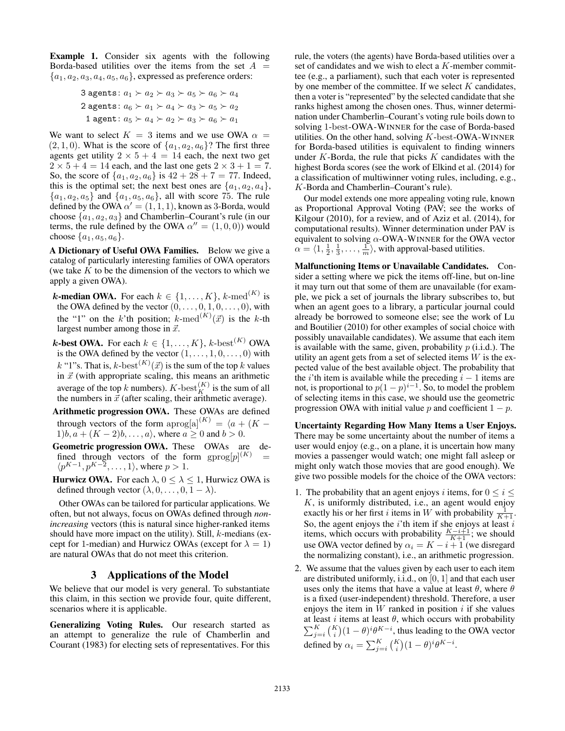Example 1. Consider six agents with the following Borda-based utilities over the items from the set  $A =$  ${a_1, a_2, a_3, a_4, a_5, a_6}$ , expressed as preference orders:

3 agents: 
$$
a_1 \succ a_2 \succ a_3 \succ a_5 \succ a_6 \succ a_4
$$
  
\n2 agents:  $a_6 \succ a_1 \succ a_4 \succ a_3 \succ a_5 \succ a_2$   
\n1 agent:  $a_5 \succ a_4 \succ a_2 \succ a_3 \succ a_6 \succ a_1$ 

We want to select  $K = 3$  items and we use OWA  $\alpha =$  $(2, 1, 0)$ . What is the score of  $\{a_1, a_2, a_6\}$ ? The first three agents get utility  $2 \times 5 + 4 = 14$  each, the next two get  $2 \times 5 + 4 = 14$  each, and the last one gets  $2 \times 3 + 1 = 7$ . So, the score of  $\{a_1, a_2, a_6\}$  is  $42 + 28 + 7 = 77$ . Indeed, this is the optimal set; the next best ones are  $\{a_1, a_2, a_4\}$ ,  ${a_1, a_2, a_5}$  and  ${a_1, a_5, a_6}$ , all with score 75. The rule defined by the OWA  $\alpha' = (1, 1, 1)$ , known as 3-Borda, would choose  $\{a_1, a_2, a_3\}$  and Chamberlin–Courant's rule (in our terms, the rule defined by the OWA  $\alpha'' = (1, 0, 0)$  would choose  $\{a_1, a_5, a_6\}.$ 

A Dictionary of Useful OWA Families. Below we give a catalog of particularly interesting families of OWA operators (we take  $K$  to be the dimension of the vectors to which we apply a given OWA).

- **k-median OWA.** For each  $k \in \{1, ..., K\}$ , k-med<sup>(K)</sup> is the OWA defined by the vector  $(0, \ldots, 0, 1, 0, \ldots, 0)$ , with the "1" on the k'th position;  $k$ -med<sup> $(K)$ </sup> $(\vec{x})$  is the k-th largest number among those in  $\vec{x}$ .
- **k-best OWA.** For each  $k \in \{1, ..., K\}$ , k-best<sup>(K)</sup> OWA is the OWA defined by the vector  $(1, \ldots, 1, 0, \ldots, 0)$  with k "1"s. That is,  $k$ -best $^{(K)}(\vec{x})$  is the sum of the top k values in  $\vec{x}$  (with appropriate scaling, this means an arithmetic average of the top k numbers).  $K\text{-}{\mathrm{best}}_K^{(K)}$  is the sum of all the numbers in  $\vec{x}$  (after scaling, their arithmetic average).
- Arithmetic progression OWA. These OWAs are defined through vectors of the form  $\text{aprog}[\text{a}]^{(K)} = \langle a + (K - \text{b})^2 \rangle$ 1)b,  $a + (K - 2)b, \ldots, a$ , where  $a \ge 0$  and  $b > 0$ .
- Geometric progression OWA. These OWAs are defined through vectors of the form  $\text{gprog}[p]^{(K)}$  =  $\langle p^{K-1}, p^{K-\overline{2}}, \ldots, 1 \rangle$ , where  $p > 1$ .

**Hurwicz OWA.** For each  $\lambda$ ,  $0 \le \lambda \le 1$ , Hurwicz OWA is defined through vector  $(\lambda, 0, \ldots, 0, 1 - \lambda)$ .

Other OWAs can be tailored for particular applications. We often, but not always, focus on OWAs defined through *nonincreasing* vectors (this is natural since higher-ranked items should have more impact on the utility). Still,  $k$ -medians (except for 1-median) and Hurwicz OWAs (except for  $\lambda = 1$ ) are natural OWAs that do not meet this criterion.

## 3 Applications of the Model

We believe that our model is very general. To substantiate this claim, in this section we provide four, quite different, scenarios where it is applicable.

Generalizing Voting Rules. Our research started as an attempt to generalize the rule of Chamberlin and Courant (1983) for electing sets of representatives. For this rule, the voters (the agents) have Borda-based utilities over a set of candidates and we wish to elect a K-member committee (e.g., a parliament), such that each voter is represented by one member of the committee. If we select  $K$  candidates, then a voter is "represented" by the selected candidate that she ranks highest among the chosen ones. Thus, winner determination under Chamberlin–Courant's voting rule boils down to solving 1-best-OWA-WINNER for the case of Borda-based utilities. On the other hand, solving  $K$ -best-OWA-WINNER for Borda-based utilities is equivalent to finding winners under  $K$ -Borda, the rule that picks  $K$  candidates with the highest Borda scores (see the work of Elkind et al. (2014) for a classification of multiwinner voting rules, including, e.g., K-Borda and Chamberlin–Courant's rule).

Our model extends one more appealing voting rule, known as Proportional Approval Voting (PAV; see the works of Kilgour (2010), for a review, and of Aziz et al. (2014), for computational results). Winner determination under PAV is equivalent to solving  $\alpha$ -OWA-WINNER for the OWA vector  $\alpha = \langle 1, \frac{1}{2}, \frac{1}{3}, \dots, \frac{1}{m} \rangle$ , with approval-based utilities.

Malfunctioning Items or Unavailable Candidates. Consider a setting where we pick the items off-line, but on-line it may turn out that some of them are unavailable (for example, we pick a set of journals the library subscribes to, but when an agent goes to a library, a particular journal could already be borrowed to someone else; see the work of Lu and Boutilier (2010) for other examples of social choice with possibly unavailable candidates). We assume that each item is available with the same, given, probability  $p$  (i.i.d.). The utility an agent gets from a set of selected items  $W$  is the expected value of the best available object. The probability that the *i*'th item is available while the preceding  $i - 1$  items are not, is proportional to  $p(1-p)^{i-1}$ . So, to model the problem of selecting items in this case, we should use the geometric progression OWA with initial value p and coefficient  $1 - p$ .

Uncertainty Regarding How Many Items a User Enjoys. There may be some uncertainty about the number of items a user would enjoy (e.g., on a plane, it is uncertain how many movies a passenger would watch; one might fall asleep or might only watch those movies that are good enough). We give two possible models for the choice of the OWA vectors:

- 1. The probability that an agent enjoys i items, for  $0 \le i \le$  $K$ , is uniformly distributed, i.e., an agent would enjoy exactly his or her first *i* items in W with probability  $\frac{1}{K+1}$ . So, the agent enjoys the  $i$ 'th item if she enjoys at least  $i$ items, which occurs with probability  $\frac{K-i+1}{K+1}$ ; we should use OWA vector defined by  $\alpha_i = K - i + 1$  (we disregard the normalizing constant), i.e., an arithmetic progression.
- 2. We assume that the values given by each user to each item are distributed uniformly, i.i.d., on [0, 1] and that each user uses only the items that have a value at least  $\theta$ , where  $\theta$ is a fixed (user-independent) threshold. Therefore, a user enjoys the item in  $W$  ranked in position  $i$  if she values at least  $i$  items at least  $\theta$ , which occurs with probability  $\sum_{j=i}^{K} {K \choose i} (1 - \theta)^{i} \theta^{K-i}$ , thus leading to the OWA vector defined by  $\alpha_i = \sum_{j=i}^K {K \choose i} (1-\theta)^i \theta^{K-i}$ .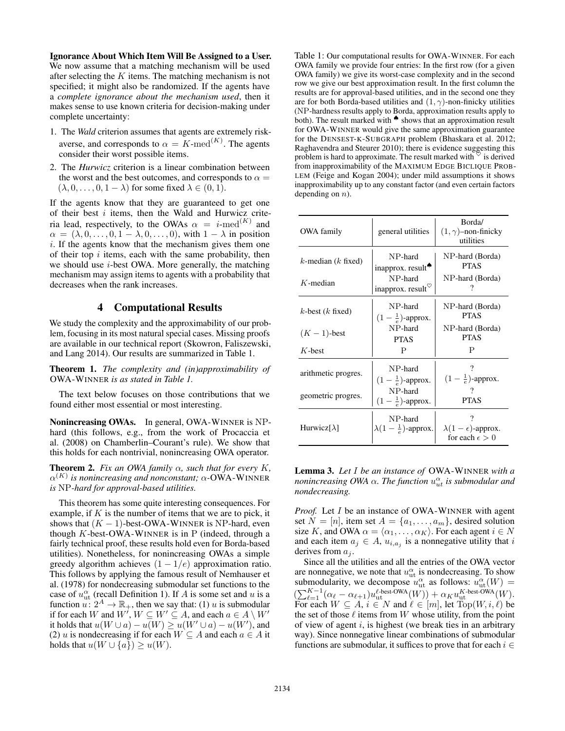Ignorance About Which Item Will Be Assigned to a User. We now assume that a matching mechanism will be used after selecting the  $K$  items. The matching mechanism is not specified; it might also be randomized. If the agents have a *complete ignorance about the mechanism used*, then it makes sense to use known criteria for decision-making under complete uncertainty:

- 1. The *Wald* criterion assumes that agents are extremely riskaverse, and corresponds to  $\alpha = K$ -med<sup> $(K)$ </sup>. The agents consider their worst possible items.
- 2. The *Hurwicz* criterion is a linear combination between the worst and the best outcomes, and corresponds to  $\alpha =$  $(\lambda, 0, \ldots, 0, 1 - \lambda)$  for some fixed  $\lambda \in (0, 1)$ .

If the agents know that they are guaranteed to get one of their best i items, then the Wald and Hurwicz criteria lead, respectively, to the OWAs  $\alpha = i$ -med<sup>(K)</sup> and  $\alpha = (\lambda, 0, \ldots, 0, 1 - \lambda, 0, \ldots, 0)$ , with  $1 - \lambda$  in position i. If the agents know that the mechanism gives them one of their top  $i$  items, each with the same probability, then we should use  $i$ -best OWA. More generally, the matching mechanism may assign items to agents with a probability that decreases when the rank increases.

### 4 Computational Results

We study the complexity and the approximability of our problem, focusing in its most natural special cases. Missing proofs are available in our technical report (Skowron, Faliszewski, and Lang 2014). Our results are summarized in Table 1.

Theorem 1. *The complexity and (in)approximability of* OWA-WINNER *is as stated in Table 1.*

The text below focuses on those contributions that we found either most essential or most interesting.

Nonincreasing OWAs. In general, OWA-WINNER is NPhard (this follows, e.g., from the work of Procaccia et al. (2008) on Chamberlin–Courant's rule). We show that this holds for each nontrivial, nonincreasing OWA operator.

**Theorem 2.** *Fix an OWA family*  $\alpha$ *, such that for every* K,  $\alpha^{(K)}$  is nonincreasing and nonconstant;  $\alpha$ -OWA-WINNER *is* NP*-hard for approval-based utilities.*

This theorem has some quite interesting consequences. For example, if  $K$  is the number of items that we are to pick, it shows that  $(K - 1)$ -best-OWA-WINNER is NP-hard, even though  $K$ -best-OWA-WINNER is in P (indeed, through a fairly technical proof, these results hold even for Borda-based utilities). Nonetheless, for nonincreasing OWAs a simple greedy algorithm achieves  $(1 - 1/e)$  approximation ratio. This follows by applying the famous result of Nemhauser et al. (1978) for nondecreasing submodular set functions to the case of  $u_{\text{ut}}^{\alpha}$  (recall Definition 1). If A is some set and u is a function  $u: 2^A \to \mathbb{R}_+$ , then we say that: (1) u is submodular if for each W and  $W'$ ,  $W \subseteq W' \subseteq A$ , and each  $a \in A \setminus W'$ it holds that  $u(W \cup a) - u(W) \ge u(W' \cup a) - u(W')$ , and (2) u is nondecreasing if for each  $W \subseteq A$  and each  $a \in A$  it holds that  $u(W \cup \{a\}) \geq u(W)$ .

Table 1: Our computational results for OWA-WINNER. For each OWA family we provide four entries: In the first row (for a given OWA family) we give its worst-case complexity and in the second row we give our best approximation result. In the first column the results are for approval-based utilities, and in the second one they are for both Borda-based utilities and  $(1, \gamma)$ -non-finicky utilities (NP-hardness results apply to Borda, approximation results apply to both). The result marked with ♠ shows that an approximation result for OWA-WINNER would give the same approximation guarantee for the DENSEST-K-SUBGRAPH problem (Bhaskara et al. 2012; Raghavendra and Steurer 2010); there is evidence suggesting this problem is hard to approximate. The result marked with  $\vee$  is derived from inapproximability of the MAXIMUM EDGE BICLIQUE PROB-LEM (Feige and Kogan 2004); under mild assumptions it shows inapproximability up to any constant factor (and even certain factors depending on  $n$ ).

| OWA family                              | general utilities                                                                                       | Borda/<br>$(1, \gamma)$ -non-finicky<br>utilities              |
|-----------------------------------------|---------------------------------------------------------------------------------------------------------|----------------------------------------------------------------|
| $k$ -median ( $k$ fixed)<br>$K$ -median | NP-hard<br>inapprox. result <sup><math>\bullet</math></sup><br>NP-hard<br>inapprox. result $\heartsuit$ | NP-hard (Borda)<br><b>PTAS</b><br>NP-hard (Borda)              |
| $k$ -best ( $k$ fixed)                  | NP-hard<br>$(1-\frac{1}{e})$ -approx.                                                                   | NP-hard (Borda)<br><b>PTAS</b>                                 |
| $(K-1)$ -best                           | NP-hard<br><b>PTAS</b>                                                                                  | NP-hard (Borda)<br><b>PTAS</b>                                 |
| $K$ -best                               | P                                                                                                       | P                                                              |
| arithmetic progres.                     | NP-hard<br>$(1-\frac{1}{e})$ -approx.                                                                   | 7<br>$(1-\frac{1}{e})$ -approx.                                |
| geometric progres.                      | NP-hard<br>$(1-\frac{1}{e})$ -approx.                                                                   | 7<br><b>PTAS</b>                                               |
| Hurwicz $[\lambda]$                     | NP-hard<br>$\lambda(1-\frac{1}{e})$ -approx.                                                            | 7<br>$\lambda(1-\epsilon)$ -approx.<br>for each $\epsilon > 0$ |

Lemma 3. *Let* I *be an instance of* OWA-WINNER *with a* nonincreasing OWA  $\alpha$ . The function  $u_{ut}^{\alpha}$  is submodular and *nondecreasing.*

*Proof.* Let *I* be an instance of OWA-WINNER with agent set  $N = [n]$ , item set  $A = \{a_1, \ldots, a_m\}$ , desired solution size K, and OWA  $\alpha = \langle \alpha_1, \dots, \alpha_K \rangle$ . For each agent  $i \in N$ and each item  $a_j \in A$ ,  $u_{i,a_j}$  is a nonnegative utility that i derives from  $a_i$ .

Since all the utilities and all the entries of the OWA vector are nonnegative, we note that  $u_{\text{ut}}^{\alpha}$  is nondecreasing. To show submodularity, we decompose  $u_{\text{ut}}^{\alpha}$  as follows:  $u_{\text{ut}}^{\alpha}(W) =$  $\bigl(\textstyle{\sum}_{\ell=1}^{K-1} (\alpha_\ell-\alpha_{\ell+1}) u_{\rm ut}^{\ell\text{-best-OWA}}(W)\bigr) + \alpha_K u_{\rm ut}^{K\text{-best-OWA}}(W).$ For each  $W \subseteq A$ ,  $i \in N$  and  $\ell \in [m]$ , let  $\text{Top}(W, i, \ell)$  be the set of those  $\ell$  items from W whose utility, from the point of view of agent  $i$ , is highest (we break ties in an arbitrary way). Since nonnegative linear combinations of submodular functions are submodular, it suffices to prove that for each  $i \in$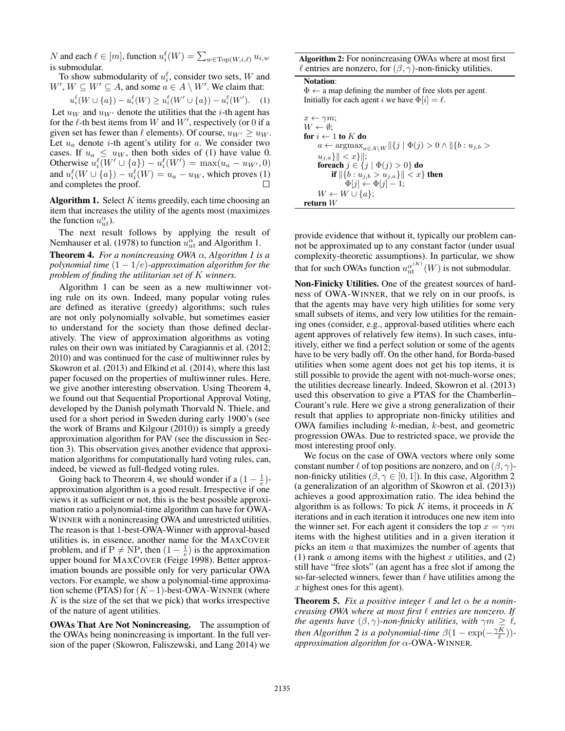N and each  $\ell \in [m]$ , function  $u_i^{\ell}(W) = \sum_{w \in \text{Top}(W, i, \ell)} u_{i,w}$ is submodular.

To show submodularity of  $u_i^{\ell}$ , consider two sets, W and  $W', W \subseteq W' \subseteq A$ , and some  $a \in A \setminus W'$ . We claim that:

$$
u_i^{\ell}(W \cup \{a\}) - u_i^{\ell}(W) \ge u_i^{\ell}(W' \cup \{a\}) - u_i^{\ell}(W'). \quad (1)
$$

Let  $u_W$  and  $u_{W'}$  denote the utilities that the *i*-th agent has for the  $\ell$ -th best items from W and W', respectively (or 0 if a given set has fewer than  $\ell$  elements). Of course,  $u_{W'} \geq u_W$ . Let  $u_a$  denote *i*-th agent's utility for a. We consider two cases. If  $u_a \leq u_W$ , then both sides of (1) have value 0. Otherwise  $u_i^{\ell}(W' \cup \{a\}) - u_i^{\ell}(W') = \max(u_a - u_{W'}, 0)$ and  $u_i^{\ell}(W \cup \{a\}) - u_i^{\ell}(W) = u_a - u_W$ , which proves (1) and completes the proof.

Algorithm 1. Select  $K$  items greedily, each time choosing an item that increases the utility of the agents most (maximizes the function  $u_{ut}^{\alpha}$ ).

The next result follows by applying the result of Nemhauser et al. (1978) to function  $u_{ut}^{\alpha}$  and Algorithm 1.

Theorem 4. *For a nonincreasing OWA* α*, Algorithm 1 is a polynomial time*  $(1 - 1/e)$ *-approximation algorithm for the problem of finding the utilitarian set of* K *winners.*

Algorithm 1 can be seen as a new multiwinner voting rule on its own. Indeed, many popular voting rules are defined as iterative (greedy) algorithms; such rules are not only polynomially solvable, but sometimes easier to understand for the society than those defined declaratively. The view of approximation algorithms as voting rules on their own was initiated by Caragiannis et al. (2012; 2010) and was continued for the case of multiwinner rules by Skowron et al. (2013) and Elkind et al. (2014), where this last paper focused on the properties of multiwinner rules. Here, we give another interesting observation. Using Theorem 4, we found out that Sequential Proportional Approval Voting, developed by the Danish polymath Thorvald N. Thiele, and used for a short period in Sweden during early 1900's (see the work of Brams and Kilgour (2010)) is simply a greedy approximation algorithm for PAV (see the discussion in Section 3). This observation gives another evidence that approximation algorithms for computationally hard voting rules, can, indeed, be viewed as full-fledged voting rules.

Going back to Theorem 4, we should wonder if a  $(1 - \frac{1}{e})$ approximation algorithm is a good result. Irrespective if one views it as sufficient or not, this is the best possible approximation ratio a polynomial-time algorithm can have for OWA-WINNER with a nonincreasing OWA and unrestricted utilities. The reason is that 1-best-OWA-Winner with approval-based utilities is, in essence, another name for the MAXCOVER problem, and if  $P \neq NP$ , then  $(1 - \frac{1}{e})$  is the approximation upper bound for MAXCOVER (Feige 1998). Better approximation bounds are possible only for very particular OWA vectors. For example, we show a polynomial-time approximation scheme (PTAS) for  $(K-1)$ -best-OWA-WINNER (where  $K$  is the size of the set that we pick) that works irrespective of the nature of agent utilities.

OWAs That Are Not Nonincreasing. The assumption of the OWAs being nonincreasing is important. In the full version of the paper (Skowron, Faliszewski, and Lang 2014) we

Algorithm 2: For nonincreasing OWAs where at most first  $\ell$  entries are nonzero, for  $(\beta, \gamma)$ -non-finicky utilities.

#### Notation:

 $\Phi \leftarrow$  a map defining the number of free slots per agent. Initially for each agent *i* we have  $\Phi[i] = \ell$ .

| $x \leftarrow \gamma m$ ;                                                                                     |
|---------------------------------------------------------------------------------------------------------------|
| $W \leftarrow \emptyset$ :                                                                                    |
| for $i \leftarrow 1$ to K do                                                                                  |
| $a \leftarrow \operatorname{argmax}_{a \in A \setminus W}   \{j \mid \Phi(j) > 0 \land   \{b : u_{j,b} > 0\}$ |
| $ u_{i,a}\rangle   < x\rangle  ;$                                                                             |
| foreach $j \in \{j \mid \Phi(j) > 0\}$ do                                                                     |
| <b>if</b> $\ \{b: u_{i,b} > u_{i,a}\}\  < x\}$ then                                                           |
| $\Phi[j] \leftarrow \Phi[j] - 1;$                                                                             |
| $W \leftarrow W \cup \{a\};$                                                                                  |
| return $W$                                                                                                    |

provide evidence that without it, typically our problem cannot be approximated up to any constant factor (under usual complexity-theoretic assumptions). In particular, we show that for such OWAs function  $u_{\mathrm{ut}}^{\alpha^{(K)}}(W)$  is not submodular.

Non-Finicky Utilities. One of the greatest sources of hardness of OWA-WINNER, that we rely on in our proofs, is that the agents may have very high utilities for some very small subsets of items, and very low utilities for the remaining ones (consider, e.g., approval-based utilities where each agent approves of relatively few items). In such cases, intuitively, either we find a perfect solution or some of the agents have to be very badly off. On the other hand, for Borda-based utilities when some agent does not get his top items, it is still possible to provide the agent with not-much-worse ones; the utilities decrease linearly. Indeed, Skowron et al. (2013) used this observation to give a PTAS for the Chamberlin– Courant's rule. Here we give a strong generalization of their result that applies to appropriate non-finicky utilities and OWA families including k-median, k-best, and geometric progression OWAs. Due to restricted space, we provide the most interesting proof only.

We focus on the case of OWA vectors where only some constant number  $\ell$  of top positions are nonzero, and on  $(\beta, \gamma)$ non-finicky utilities ( $\beta, \gamma \in [0, 1]$ ). In this case, Algorithm 2 (a generalization of an algorithm of Skowron et al. (2013)) achieves a good approximation ratio. The idea behind the algorithm is as follows: To pick  $K$  items, it proceeds in  $K$ iterations and in each iteration it introduces one new item into the winner set. For each agent it considers the top  $x = \gamma m$ items with the highest utilities and in a given iteration it picks an item a that maximizes the number of agents that (1) rank  $\alpha$  among items with the highest  $x$  utilities, and (2) still have "free slots" (an agent has a free slot if among the so-far-selected winners, fewer than  $\ell$  have utilities among the  $x$  highest ones for this agent).

**Theorem 5.** Fix a positive integer  $\ell$  and let  $\alpha$  be a nonin*creasing OWA where at most first*  $\ell$  *entries are nonzero. If the agents have*  $(\beta, \gamma)$ *-non-finicky utilities, with*  $\gamma m \geq \ell$ *, then Algorithm 2 is a polynomial-time*  $\beta(1 - \exp(-\frac{\gamma K}{\ell}))$ *approximation algorithm for* α*-*OWA-WINNER*.*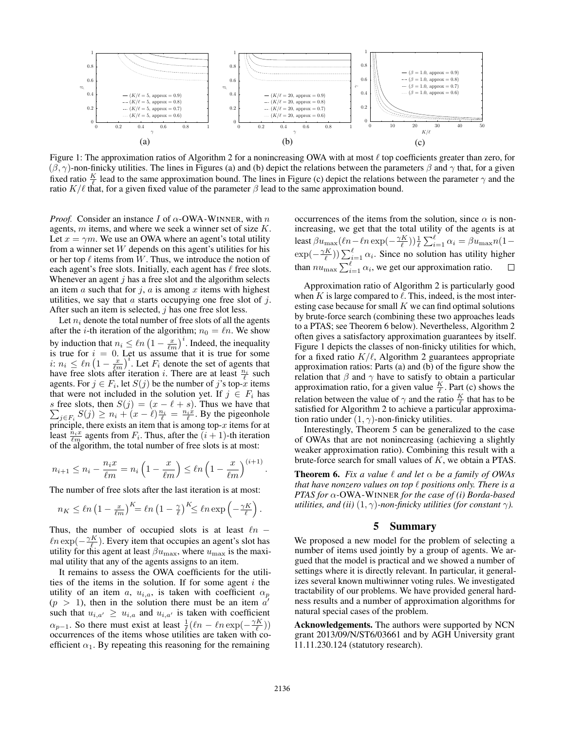

Figure 1: The approximation ratios of Algorithm 2 for a nonincreasing OWA with at most  $\ell$  top coefficients greater than zero, for  $(\beta, \gamma)$ -non-finicky utilities. The lines in Figures (a) and (b) depict the relations between the parameters  $\beta$  and  $\gamma$  that, for a given fixed ratio  $\frac{K}{\ell}$  lead to the same approximation bound. The lines in Figure (c) depict the relations between the parameter  $\gamma$  and the ratio  $K/\ell$  that, for a given fixed value of the parameter  $\beta$  lead to the same approximation bound.

*Proof.* Consider an instance  $I$  of  $\alpha$ -OWA-WINNER, with  $n$ agents, m items, and where we seek a winner set of size K. Let  $x = \gamma m$ . We use an OWA where an agent's total utility from a winner set  $W$  depends on this agent's utilities for his or her top  $\ell$  items from W. Thus, we introduce the notion of each agent's free slots. Initially, each agent has  $\ell$  free slots. Whenever an agent  $j$  has a free slot and the algorithm selects an item  $a$  such that for  $j$ ,  $a$  is among  $x$  items with highest utilities, we say that  $\alpha$  starts occupying one free slot of  $j$ . After such an item is selected,  $j$  has one free slot less.

Let  $n_i$  denote the total number of free slots of all the agents after the *i*-th iteration of the algorithm;  $n_0 = \ell n$ . We show by induction that  $n_i \leq \ln \left(1 - \frac{x}{\ell m}\right)^i$ . Indeed, the inequality is true for  $i = 0$ . Let us assume that it is true for some i:  $n_i \leq \ln \left(1 - \frac{x}{\ell m}\right)^i$ . Let  $F_i$  denote the set of agents that have free slots after iteration *i*. There are at least  $\frac{n_i}{\ell}$  such agents. For  $j \in F_i$ , let  $S(j)$  be the number of j's top-x items that were not included in the solution yet. If  $j \in F_i$  has s free slots, then  $S(j) = (x - \ell + s)$ . Thus we have that  $\sum_{j \in F_i} S(j) \ge n_i + (x - \ell) \frac{n_i}{\ell} = \frac{n_i \dot{x}}{\ell}$ . By the pigeonhole principle, there exists an item that is among top- $x$  items for at least  $\frac{\hat{n}_i x}{\ell m}$  agents from  $F_i$ . Thus, after the  $(i + 1)$ -th iteration of the algorithm, the total number of free slots is at most:

$$
n_{i+1} \le n_i - \frac{n_i x}{\ell m} = n_i \left( 1 - \frac{x}{\ell m} \right) \le \ell n \left( 1 - \frac{x}{\ell m} \right)^{(i+1)}
$$

The number of free slots after the last iteration is at most:

$$
n_K \leq \ln\left(1 - \frac{x}{\ell m}\right)^K = \ln\left(1 - \frac{\gamma}{\ell}\right)^K \leq \ln\exp\left(-\frac{\gamma K}{\ell}\right)
$$

Thus, the number of occupied slots is at least  $ln \ln \exp(-\frac{\gamma K}{\ell})$ . Every item that occupies an agent's slot has utility for this agent at least  $\beta u_{\text{max}}$ , where  $u_{\text{max}}$  is the maximal utility that any of the agents assigns to an item.

It remains to assess the OWA coefficients for the utilities of the items in the solution. If for some agent  $i$  the utility of an item a,  $u_{i,a}$ , is taken with coefficient  $\alpha_p$  $(p > 1)$ , then in the solution there must be an item  $a'$ such that  $u_{i,a'} \geq u_{i,a}$  and  $u_{i,a'}$  is taken with coefficient  $\alpha_{p-1}$ . So there must exist at least  $\frac{1}{\ell}(\ell n - \ell n \exp(-\frac{\gamma K}{\ell}))$ occurrences of the items whose utilities are taken with coefficient  $\alpha_1$ . By repeating this reasoning for the remaining occurrences of the items from the solution, since  $\alpha$  is nonincreasing, we get that the total utility of the agents is at least  $\beta u_{\text{max}}(\ell n - \ell n \exp(-\frac{\gamma K}{\ell})) \frac{1}{\ell} \sum_{i=1}^{\ell} \alpha_i = \beta u_{\text{max}} n (1 \exp(-\frac{\gamma K}{\ell}) \sum_{i=1}^{\ell} \alpha_i$ . Since no solution has utility higher than  $nu_{\text{max}} \sum_{i=1}^{\ell} \alpha_i$ , we get our approximation ratio.

Approximation ratio of Algorithm 2 is particularly good when K is large compared to  $\ell$ . This, indeed, is the most interesting case because for small  $K$  we can find optimal solutions by brute-force search (combining these two approaches leads to a PTAS; see Theorem 6 below). Nevertheless, Algorithm 2 often gives a satisfactory approximation guarantees by itself. Figure 1 depicts the classes of non-finicky utilities for which, for a fixed ratio  $K/\ell$ , Algorithm 2 guarantees appropriate approximation ratios: Parts (a) and (b) of the figure show the relation that  $\beta$  and  $\gamma$  have to satisfy to obtain a particular approximation ratio, for a given value  $\frac{K}{\ell}$ . Part (c) shows the relation between the value of  $\gamma$  and the ratio  $\frac{K}{\ell}$  that has to be satisfied for Algorithm 2 to achieve a particular approximation ratio under  $(1, \gamma)$ -non-finicky utilities.

Interestingly, Theorem 5 can be generalized to the case of OWAs that are not nonincreasing (achieving a slightly weaker approximation ratio). Combining this result with a brute-force search for small values of K, we obtain a PTAS.

**Theorem 6.** *Fix a value*  $\ell$  *and let*  $\alpha$  *be a family of OWAs that have nonzero values on top*  $\ell$  *positions only. There is a PTAS for* α*-*OWA-WINNER *for the case of (i) Borda-based utilities, and (ii)*  $(1, \gamma)$ *-non-finicky utilities (for constant*  $\gamma$ *).* 

#### 5 Summary

We proposed a new model for the problem of selecting a number of items used jointly by a group of agents. We argued that the model is practical and we showed a number of settings where it is directly relevant. In particular, it generalizes several known multiwinner voting rules. We investigated tractability of our problems. We have provided general hardness results and a number of approximation algorithms for natural special cases of the problem.

Acknowledgements. The authors were supported by NCN grant 2013/09/N/ST6/03661 and by AGH University grant 11.11.230.124 (statutory research).

.

.